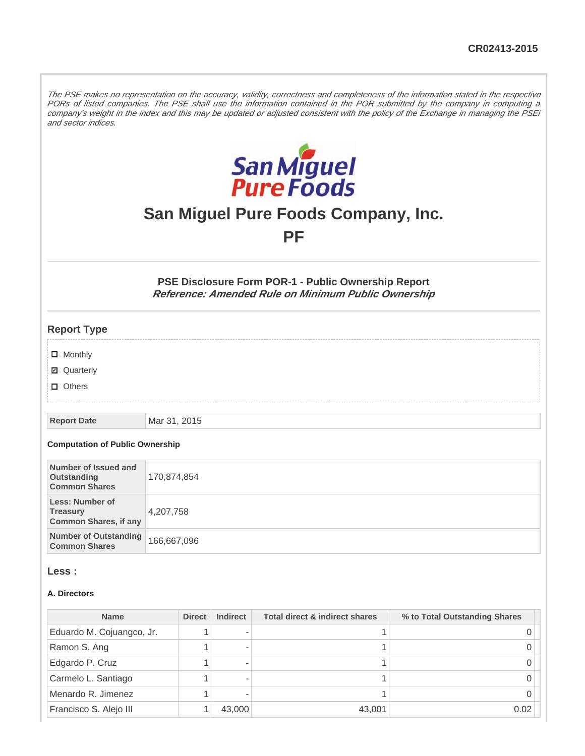The PSE makes no representation on the accuracy, validity, correctness and completeness of the information stated in the respective PORs of listed companies. The PSE shall use the information contained in the POR submitted by the company in computing a company's weight in the index and this may be updated or adjusted consistent with the policy of the Exchange in managing the PSEi and sector indices.



# **San Miguel Pure Foods Company, Inc.**

**PF**

### **PSE Disclosure Form POR-1 - Public Ownership Report Reference: Amended Rule on Minimum Public Ownership**

| <b>Report Type</b> |
|--------------------|
|                    |
| $\Box$ Monthly     |
| <b>Z</b> Quarterly |
| <b>D</b> Others    |

**Report Date** Mar 31, 2015

#### **Computation of Public Ownership**

| Number of Issued and<br>Outstanding<br><b>Common Shares</b>               | 170,874,854 |
|---------------------------------------------------------------------------|-------------|
| <b>Less: Number of</b><br><b>Treasury</b><br><b>Common Shares, if any</b> | 4,207,758   |
| <b>Number of Outstanding</b><br><b>Common Shares</b>                      | 166,667,096 |

### **Less :**

### **A. Directors**

| <b>Name</b>               | <b>Direct</b> | <b>Indirect</b> | <b>Total direct &amp; indirect shares</b> | % to Total Outstanding Shares |
|---------------------------|---------------|-----------------|-------------------------------------------|-------------------------------|
| Eduardo M. Cojuangco, Jr. |               |                 |                                           |                               |
| Ramon S. Ang              |               |                 |                                           |                               |
| Edgardo P. Cruz           |               |                 |                                           |                               |
| Carmelo L. Santiago       |               |                 |                                           |                               |
| Menardo R. Jimenez        |               |                 |                                           |                               |
| Francisco S. Alejo III    |               | 43,000          | 43,001                                    | 0.02                          |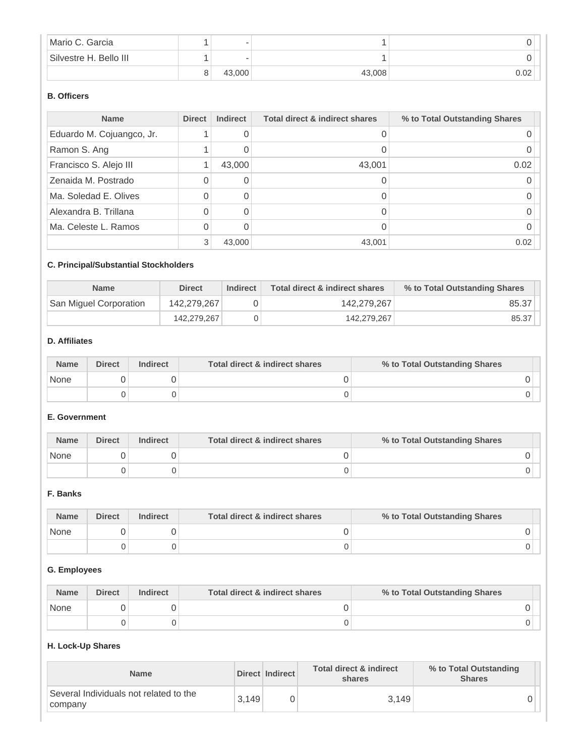| Mario C. Garcia        | $\sim$                   |        |      |
|------------------------|--------------------------|--------|------|
| Silvestre H. Bello III | $\overline{\phantom{a}}$ |        |      |
|                        | 43,000                   | 43,008 | 0.02 |

# **B. Officers**

| <b>Name</b>               | <b>Direct</b> | <b>Indirect</b> | <b>Total direct &amp; indirect shares</b> | % to Total Outstanding Shares |
|---------------------------|---------------|-----------------|-------------------------------------------|-------------------------------|
| Eduardo M. Cojuangco, Jr. |               |                 |                                           |                               |
| Ramon S. Ang              |               |                 |                                           |                               |
| Francisco S. Alejo III    |               | 43,000          | 43,001                                    | 0.02                          |
| Zenaida M. Postrado       | Ω             | 0               |                                           |                               |
| Ma. Soledad E. Olives     | N             |                 |                                           |                               |
| Alexandra B. Trillana     | Ω             |                 |                                           |                               |
| Ma. Celeste L. Ramos      |               |                 |                                           |                               |
|                           | 3             | 43,000          | 43,001                                    | 0.02                          |

# **C. Principal/Substantial Stockholders**

| <b>Name</b>            | <b>Direct</b> | <b>Indirect</b> | Total direct & indirect shares | % to Total Outstanding Shares |  |
|------------------------|---------------|-----------------|--------------------------------|-------------------------------|--|
| San Miguel Corporation | 142.279.267   |                 | 142.279.267                    | 85.37                         |  |
|                        | 142.279.267   |                 | 142.279.267                    | 85.37                         |  |

### **D. Affiliates**

| <b>Name</b> | <b>Direct</b> | <b>Indirect</b> | Total direct & indirect shares | % to Total Outstanding Shares |  |
|-------------|---------------|-----------------|--------------------------------|-------------------------------|--|
| None        |               |                 |                                |                               |  |
|             |               |                 |                                |                               |  |

### **E. Government**

| <b>Name</b> | <b>Direct</b> | <b>Indirect</b> | Total direct & indirect shares | % to Total Outstanding Shares |  |
|-------------|---------------|-----------------|--------------------------------|-------------------------------|--|
| None        |               |                 |                                |                               |  |
|             |               |                 |                                |                               |  |

### **F. Banks**

| <b>Name</b> | <b>Direct</b> | <b>Indirect</b> | Total direct & indirect shares | % to Total Outstanding Shares |
|-------------|---------------|-----------------|--------------------------------|-------------------------------|
| None        |               |                 |                                |                               |
|             |               |                 |                                |                               |

# **G. Employees**

| <b>Name</b> | <b>Direct</b> | <b>Indirect</b> | Total direct & indirect shares | % to Total Outstanding Shares |
|-------------|---------------|-----------------|--------------------------------|-------------------------------|
| None        |               |                 |                                |                               |
|             |               |                 |                                |                               |

# **H. Lock-Up Shares**

| <b>Name</b>                                       |       | Direct Indirect | <b>Total direct &amp; indirect</b><br>shares | % to Total Outstanding<br><b>Shares</b> |
|---------------------------------------------------|-------|-----------------|----------------------------------------------|-----------------------------------------|
| Several Individuals not related to the<br>company | 3.149 |                 | 3.149                                        |                                         |